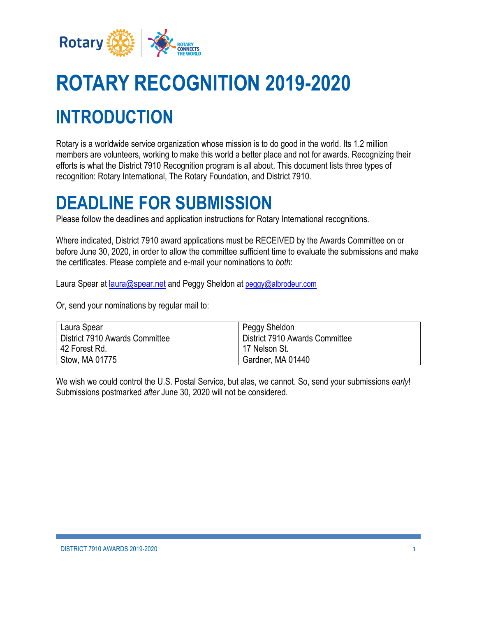

# **ROTARY RECOGNITION 2019-2020**

## **INTRODUCTION**

Rotary is a worldwide service organization whose mission is to do good in the world. Its 1.2 million members are volunteers, working to make this world a better place and not for awards. Recognizing their efforts is what the District 7910 Recognition program is all about. This document lists three types of recognition: Rotary International, The Rotary Foundation, and District 7910.

## **DEADLINE FOR SUBMISSION**

Please follow the deadlines and application instructions for Rotary International recognitions.

Where indicated, District 7910 award applications must be RECEIVED by the Awards Committee on or before June 30, 2020, in order to allow the committee sufficient time to evaluate the submissions and make the certificates. Please complete and e-mail your nominations to *both*:

Laura Spear at [laura@spear.net](mailto:laura@spear.net) and Peggy Sheldon at peggy@albrodeur.com

Or, send your nominations by regular mail to:

| Laura Spear                    | Peggy Sheldon                  |
|--------------------------------|--------------------------------|
| District 7910 Awards Committee | District 7910 Awards Committee |
| 42 Forest Rd.                  | 17 Nelson St.                  |
| Stow, MA 01775                 | Gardner, MA 01440              |

We wish we could control the U.S. Postal Service, but alas, we cannot. So, send your submissions *early*! Submissions postmarked *after* June 30, 2020 will not be considered.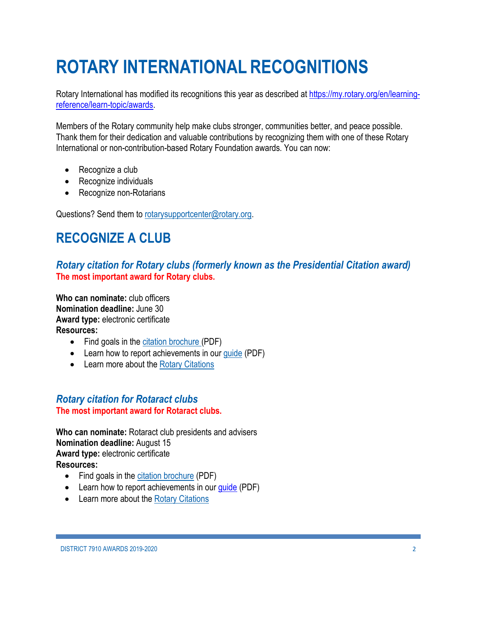## **ROTARY INTERNATIONAL RECOGNITIONS**

Rotary International has modified its recognitions this year as described at [https://my.rotary.org/en/learning](https://my.rotary.org/en/learning-reference/learn-topic/awards)[reference/learn-topic/awards.](https://my.rotary.org/en/learning-reference/learn-topic/awards)

Members of the Rotary community help make clubs stronger, communities better, and peace possible. Thank them for their dedication and valuable contributions by recognizing them with one of these Rotary International or non-contribution-based Rotary Foundation awards. You can now:

- Recognize a club
- Recognize individuals
- Recognize non-Rotarians

Questions? Send them to [rotarysupportcenter@rotary.org.](mailto:rotarysupportcenter@rotary.org)

## **RECOGNIZE A CLUB**

*Rotary citation for Rotary clubs (formerly known as the Presidential Citation award)* **The most important award for Rotary clubs.**

**Who can nominate:** club officers **Nomination deadline:** June 30 **Award type:** electronic certificate **Resources:**

- Find goals in the [citation brochure](https://my.rotary.org/en/document/presidential-theme-and-rotary-citation-brochure-2019-20) (PDF)
- Learn how to report achievements in our quide (PDF)
- Learn more about the [Rotary Citations](https://my.rotary.org/en/news-media/office-president/rotary-citation)

#### *Rotary citation for Rotaract clubs* **The most important award for Rotaract clubs.**

**Who can nominate:** Rotaract club presidents and advisers **Nomination deadline:** August 15 **Award type:** electronic certificate **Resources:**

- Find goals in the [citation brochure](https://my.rotary.org/en/document/presidential-theme-and-rotary-citation-brochure-2019-20) (PDF)
- Learn how to report achievements in our quide (PDF)
- Learn more about the [Rotary Citations](https://my.rotary.org/en/news-media/office-president/rotary-citation)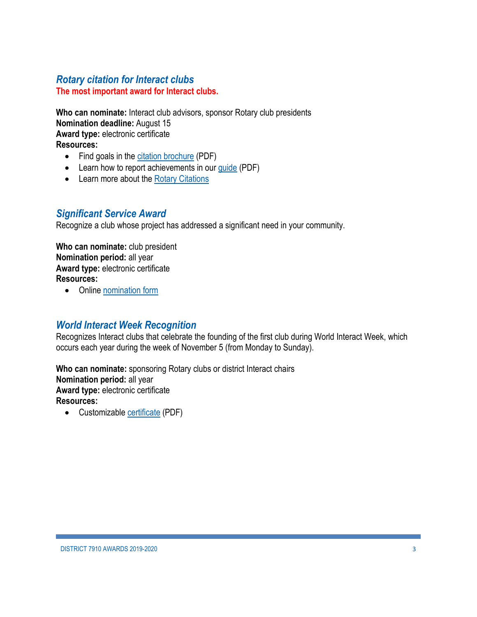#### *Rotary citation for Interact clubs*

**The most important award for Interact clubs.**

**Who can nominate:** Interact club advisors, sponsor Rotary club presidents **Nomination deadline:** August 15 **Award type:** electronic certificate **Resources:**

- Find goals in the [citation brochure](https://my.rotary.org/en/document/presidential-theme-and-rotary-citation-brochure-2019-20) (PDF)
- Learn how to report achievements in our quide (PDF)
- Learn more about the [Rotary Citations](https://my.rotary.org/en/news-media/office-president/rotary-citation)

#### *Significant Service Award*

Recognize a club whose project has addressed a significant need in your community.

**Who can nominate:** club president **Nomination period:** all year **Award type:** electronic certificate **Resources:**

• Online [nomination form](https://rotary.qualtrics.com/jfe/form/SV_55CFSyWTWCwhQln)

#### *World Interact Week Recognition*

Recognizes Interact clubs that celebrate the founding of the first club during World Interact Week, which occurs each year during the week of November 5 (from Monday to Sunday).

**Who can nominate:** sponsoring Rotary clubs or district Interact chairs **Nomination period:** all year **Award type:** electronic certificate **Resources:**

• Customizable [certificate](https://my.rotary.org/en/document/world-interact-week-certificate-recognition) (PDF)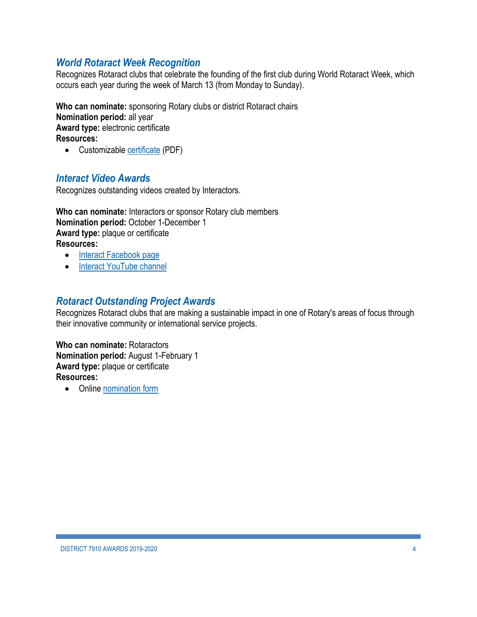#### *World Rotaract Week Recognition*

Recognizes Rotaract clubs that celebrate the founding of the first club during World Rotaract Week, which occurs each year during the week of March 13 (from Monday to Sunday).

**Who can nominate:** sponsoring Rotary clubs or district Rotaract chairs **Nomination period:** all year **Award type:** electronic certificate **Resources:**

• Customizable [certificate](https://my.rotary.org/en/document/world-rotaract-week-certificate-recognition) (PDF)

#### *Interact Video Awards*

Recognizes outstanding videos created by Interactors.

**Who can nominate:** Interactors or sponsor Rotary club members **Nomination period:** October 1-December 1 **Award type:** plaque or certificate **Resources:**

- [Interact Facebook page](https://www.facebook.com/interactofficial/)
- [Interact YouTube channel](https://www.youtube.com/user/InteractOfficial)

#### *Rotaract Outstanding Project Awards*

Recognizes Rotaract clubs that are making a sustainable impact in one of Rotary's areas of focus through their innovative community or international service projects.

**Who can nominate:** Rotaractors **Nomination period:** August 1-February 1 **Award type:** plaque or certificate **Resources:**

• Online [nomination form](https://rotary.qualtrics.com/jfe/form/SV_4USAyCAu9r9ZHut)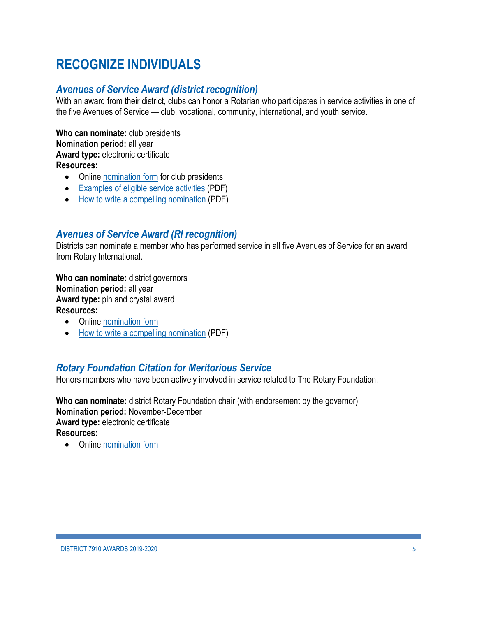## **RECOGNIZE INDIVIDUALS**

#### *Avenues of Service Award (district recognition)*

With an award from their district, clubs can honor a Rotarian who participates in service activities in one of the five Avenues of Service — club, vocational, community, international, and youth service.

**Who can nominate:** club presidents **Nomination period:** all year **Award type:** electronic certificate **Resources:**

- Online [nomination form](https://rotary.qualtrics.com/jfe/form/SV_4V0rQ6ijj6qu9pj) for club presidents
- [Examples of eligible service activities](https://my.rotary.org/en/document/avenues-service-award-examples-eligible-service-activities) (PDF)
- [How to write a compelling nomination](https://my.rotary.org/en/document/how-write-compelling-nomination) (PDF)

#### *Avenues of Service Award (RI recognition)*

Districts can nominate a member who has performed service in all five Avenues of Service for an award from Rotary International.

**Who can nominate:** district governors **Nomination period:** all year **Award type:** pin and crystal award **Resources:**

- Online [nomination form](https://rotary.qualtrics.com/jfe/form/SV_7V8vV0vJQmT5R2J)
- [How to write a compelling nomination](https://my.rotary.org/en/document/how-write-compelling-nomination) (PDF)

#### *Rotary Foundation Citation for Meritorious Service*

Honors members who have been actively involved in service related to The Rotary Foundation.

**Who can nominate:** district Rotary Foundation chair (with endorsement by the governor) **Nomination period:** November-December **Award type:** electronic certificate **Resources:**

• Online [nomination form](https://rotary.qualtrics.com/jfe/form/SV_6SaqTiH3QyjdFR3)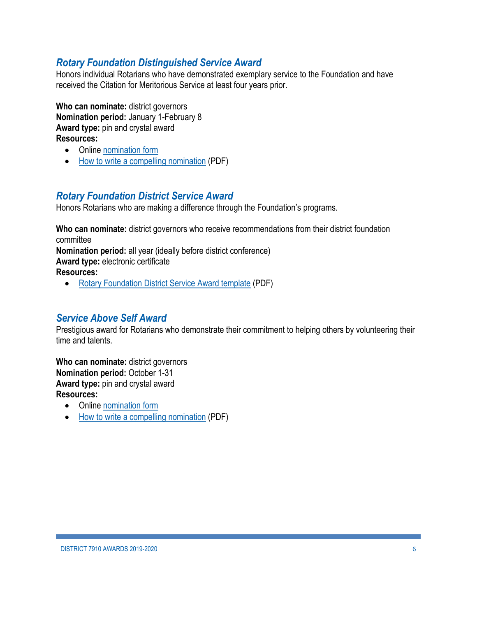#### *Rotary Foundation Distinguished Service Award*

Honors individual Rotarians who have demonstrated exemplary service to the Foundation and have received the Citation for Meritorious Service at least four years prior.

**Who can nominate:** district governors **Nomination period:** January 1-February 8 **Award type:** pin and crystal award **Resources:**

- Online [nomination form](https://rotary.qualtrics.com/jfe/form/SV_3Cv2x1V2IoiMoPH)
- [How to write a compelling nomination](https://my.rotary.org/en/document/how-write-compelling-nomination) (PDF)

#### *Rotary Foundation District Service Award*

Honors Rotarians who are making a difference through the Foundation's programs.

**Who can nominate:** district governors who receive recommendations from their district foundation committee

**Nomination period:** all year (ideally before district conference) **Award type:** electronic certificate

**Resources:**

• [Rotary Foundation District Service Award template](https://my.rotary.org/en/document/district-service-award-template) (PDF)

#### *Service Above Self Award*

Prestigious award for Rotarians who demonstrate their commitment to helping others by volunteering their time and talents.

**Who can nominate:** district governors **Nomination period:** October 1-31 **Award type:** pin and crystal award **Resources:**

- Online [nomination form](https://rotary.qualtrics.com/jfe/form/SV_3QqKGOfQReFIluJ)
- [How to write a compelling nomination](https://my.rotary.org/en/document/how-write-compelling-nomination) (PDF)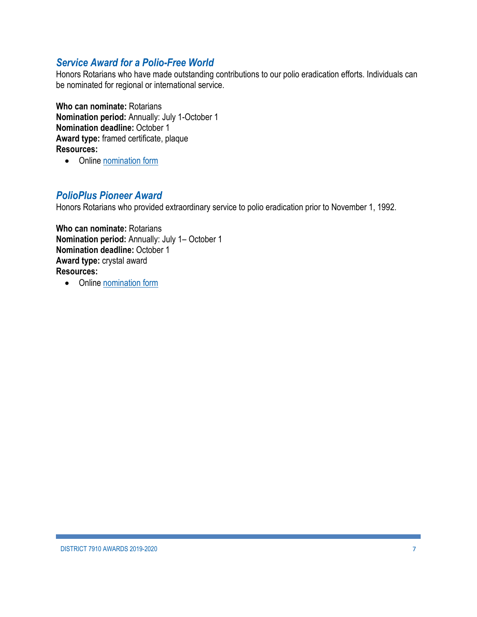#### *Service Award for a Polio-Free World*

Honors Rotarians who have made outstanding contributions to our polio eradication efforts. Individuals can be nominated for regional or international service.

**Who can nominate:** Rotarians **Nomination period:** Annually: July 1-October 1 **Nomination deadline:** October 1 **Award type:** framed certificate, plaque **Resources:**

• Online [nomination form](https://rotary.qualtrics.com/jfe/form/SV_9RG7oHviieQmAkd)

#### *PolioPlus Pioneer Award*

Honors Rotarians who provided extraordinary service to polio eradication prior to November 1, 1992.

**Who can nominate:** Rotarians **Nomination period:** Annually: July 1– October 1 **Nomination deadline:** October 1 **Award type:** crystal award **Resources:**

• Online [nomination form](https://rotary.qualtrics.com/jfe/form/SV_3HRAYpJj5I4yFYF)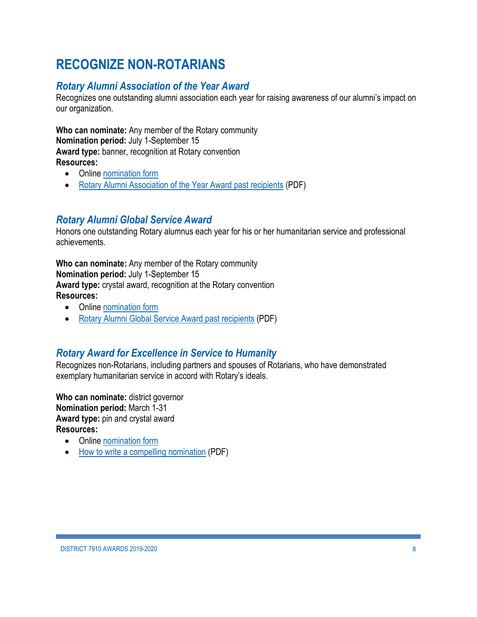## **RECOGNIZE NON-ROTARIANS**

#### *Rotary Alumni Association of the Year Award*

Recognizes one outstanding alumni association each year for raising awareness of our alumni's impact on our organization.

**Who can nominate:** Any member of the Rotary community **Nomination period:** July 1-September 15

**Award type:** banner, recognition at Rotary convention

- **Resources:**
	- Online [nomination form](https://rotary.qualtrics.com/jfe/form/SV_1ACiglZyinoavOZ)
	- [Rotary Alumni Association of the Year Award past recipients](https://my.rotary.org/en/document/alumni-association-year-award) (PDF)

#### *Rotary Alumni Global Service Award*

Honors one outstanding Rotary alumnus each year for his or her humanitarian service and professional achievements.

**Who can nominate:** Any member of the Rotary community **Nomination period:** July 1-September 15 **Award type:** crystal award, recognition at the Rotary convention **Resources:**

- Online [nomination form](https://rotary.qualtrics.com/jfe/form/SV_eWENgJJ6EOLJrc9)
- [Rotary Alumni Global Service Award past recipients](https://my.rotary.org/en/document/rotary-alumni-global-service-award) (PDF)

#### *Rotary Award for Excellence in Service to Humanity*

Recognizes non-Rotarians, including partners and spouses of Rotarians, who have demonstrated exemplary humanitarian service in accord with Rotary's ideals.

**Who can nominate:** district governor **Nomination period:** March 1-31 **Award type:** pin and crystal award **Resources:**

- Online [nomination form](https://rotary.qualtrics.com/jfe/form/SV_6VV04kyEKGhyQDz)
- [How to write a compelling nomination](https://my.rotary.org/en/document/how-write-compelling-nomination) (PDF)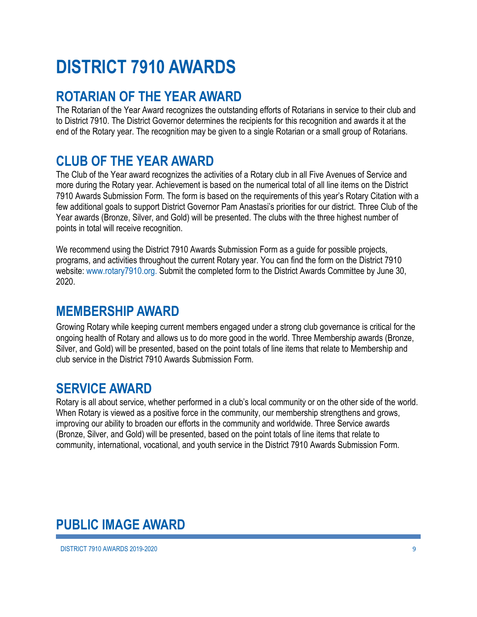## **DISTRICT 7910 AWARDS**

## **ROTARIAN OF THE YEAR AWARD**

The Rotarian of the Year Award recognizes the outstanding efforts of Rotarians in service to their club and to District 7910. The District Governor determines the recipients for this recognition and awards it at the end of the Rotary year. The recognition may be given to a single Rotarian or a small group of Rotarians.

## **CLUB OF THE YEAR AWARD**

The Club of the Year award recognizes the activities of a Rotary club in all Five Avenues of Service and more during the Rotary year. Achievement is based on the numerical total of all line items on the District 7910 Awards Submission Form. The form is based on the requirements of this year's Rotary Citation with a few additional goals to support District Governor Pam Anastasi's priorities for our district. Three Club of the Year awards (Bronze, Silver, and Gold) will be presented. The clubs with the three highest number of points in total will receive recognition.

We recommend using the District 7910 Awards Submission Form as a guide for possible projects, programs, and activities throughout the current Rotary year. You can find the form on the District 7910 website: [www.rotary7910.org.](http://www.rotary7910.org/) Submit the completed form to the District Awards Committee by June 30, 2020.

### **MEMBERSHIP AWARD**

Growing Rotary while keeping current members engaged under a strong club governance is critical for the ongoing health of Rotary and allows us to do more good in the world. Three Membership awards (Bronze, Silver, and Gold) will be presented, based on the point totals of line items that relate to Membership and club service in the District 7910 Awards Submission Form.

## **SERVICE AWARD**

Rotary is all about service, whether performed in a club's local community or on the other side of the world. When Rotary is viewed as a positive force in the community, our membership strengthens and grows, improving our ability to broaden our efforts in the community and worldwide. Three Service awards (Bronze, Silver, and Gold) will be presented, based on the point totals of line items that relate to community, international, vocational, and youth service in the District 7910 Awards Submission Form.

## **PUBLIC IMAGE AWARD**

DISTRICT 7910 AWARDS 2019-2020 9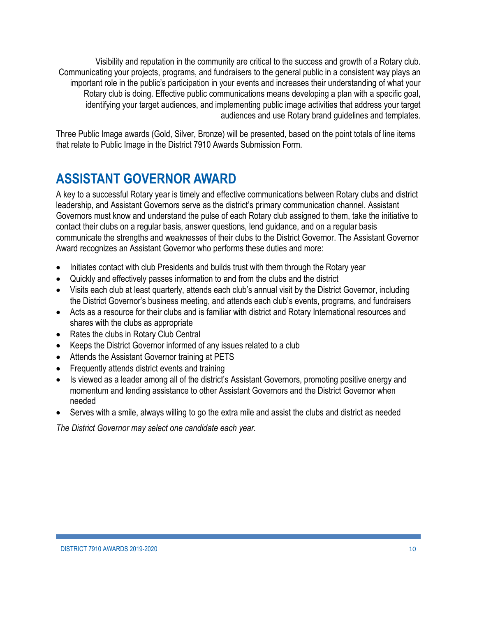Visibility and reputation in the community are critical to the success and growth of a Rotary club. Communicating your projects, programs, and fundraisers to the general public in a consistent way plays an important role in the public's participation in your events and increases their understanding of what your Rotary club is doing. Effective public communications means developing a plan with a specific goal, identifying your target audiences, and implementing public image activities that address your target audiences and use Rotary brand guidelines and templates.

Three Public Image awards (Gold, Silver, Bronze) will be presented, based on the point totals of line items that relate to Public Image in the District 7910 Awards Submission Form.

## **ASSISTANT GOVERNOR AWARD**

A key to a successful Rotary year is timely and effective communications between Rotary clubs and district leadership, and Assistant Governors serve as the district's primary communication channel. Assistant Governors must know and understand the pulse of each Rotary club assigned to them, take the initiative to contact their clubs on a regular basis, answer questions, lend guidance, and on a regular basis communicate the strengths and weaknesses of their clubs to the District Governor. The Assistant Governor Award recognizes an Assistant Governor who performs these duties and more:

- Initiates contact with club Presidents and builds trust with them through the Rotary year
- Quickly and effectively passes information to and from the clubs and the district
- Visits each club at least quarterly, attends each club's annual visit by the District Governor, including the District Governor's business meeting, and attends each club's events, programs, and fundraisers
- Acts as a resource for their clubs and is familiar with district and Rotary International resources and shares with the clubs as appropriate
- Rates the clubs in Rotary Club Central
- Keeps the District Governor informed of any issues related to a club
- Attends the Assistant Governor training at PETS
- Frequently attends district events and training
- Is viewed as a leader among all of the district's Assistant Governors, promoting positive energy and momentum and lending assistance to other Assistant Governors and the District Governor when needed
- Serves with a smile, always willing to go the extra mile and assist the clubs and district as needed

*The District Governor may select one candidate each year.*